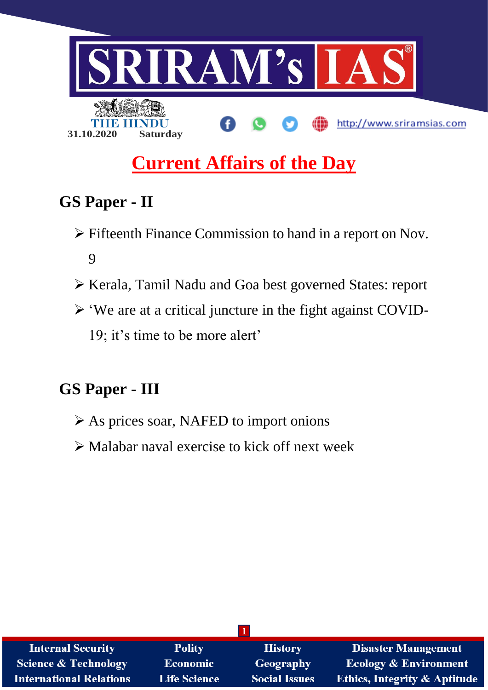

# **Current Affairs of the Day**

## **GS Paper - II**

- Fifteenth Finance Commission to hand in a report on Nov. 9
- Kerala, Tamil Nadu and Goa best governed States: report
- 'We are at a critical juncture in the fight against COVID-19; it's time to be more alert'

## **GS Paper - III**

- As prices soar, NAFED to import onions
- $\triangleright$  Malabar naval exercise to kick off next week

| <b>Internal Security</b>        | <b>Polity</b>       | <b>History</b>       | <b>Disaster Management</b>              |
|---------------------------------|---------------------|----------------------|-----------------------------------------|
| <b>Science &amp; Technology</b> | Economic            | Geography            | <b>Ecology &amp; Environment</b>        |
| <b>International Relations</b>  | <b>Life Science</b> | <b>Social Issues</b> | <b>Ethics, Integrity &amp; Aptitude</b> |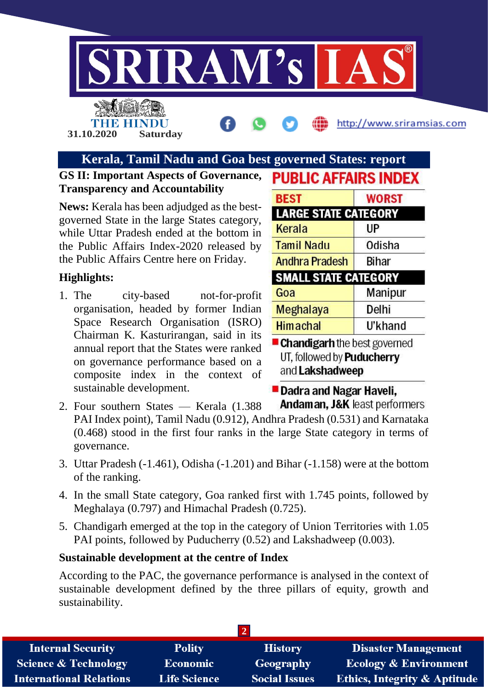

TIER EIN **31.10.2020 Saturday**

http://www.sriramsias.com

### **Kerala, Tamil Nadu and Goa best governed States: report**

### **GS II: Important Aspects of Governance, Transparency and Accountability**

**News:** Kerala has been adjudged as the bestgoverned State in the large States category, while Uttar Pradesh ended at the bottom in the Public Affairs Index-2020 released by the Public Affairs Centre here on Friday.

### **Highlights:**

1. The city-based not-for-profit organisation, headed by former Indian Space Research Organisation (ISRO) Chairman K. Kasturirangan, said in its annual report that the States were ranked on governance performance based on a composite index in the context of sustainable development.

| <b>BEST</b>                 | <b>WORST</b> |  |
|-----------------------------|--------------|--|
| <b>LARGE STATE CATEGORY</b> |              |  |
| Kerala                      | UP           |  |
| <b>Tamil Nadu</b>           | Odisha       |  |
| <b>Andhra Pradesh</b>       | Bihar        |  |
| <b>SMALL STATE CATEGORY</b> |              |  |
| Goa                         | Manipur      |  |
| Meghalaya                   | Delhi        |  |
| <b>Himachal</b>             | U'khand      |  |

**PUBLIC AFFAIRS INDEX** 

UT, followed by **Puducherry** and Lakshadweep

**Dadra and Nagar Haveli,** Andaman, J&K least performers

- 2. Four southern States Kerala (1.388 PAI Index point), Tamil Nadu (0.912), Andhra Pradesh (0.531) and Karnataka (0.468) stood in the first four ranks in the large State category in terms of governance.
- 3. Uttar Pradesh (-1.461), Odisha (-1.201) and Bihar (-1.158) were at the bottom of the ranking.
- 4. In the small State category, Goa ranked first with 1.745 points, followed by Meghalaya (0.797) and Himachal Pradesh (0.725).
- 5. Chandigarh emerged at the top in the category of Union Territories with 1.05 PAI points, followed by Puducherry (0.52) and Lakshadweep (0.003).

### **Sustainable development at the centre of Index**

According to the PAC, the governance performance is analysed in the context of sustainable development defined by the three pillars of equity, growth and sustainability.

| <b>Internal Security</b>       | <b>Polity</b>       | <b>History</b>       | <b>Disaster Management</b>              |
|--------------------------------|---------------------|----------------------|-----------------------------------------|
| Science & Technology           | <b>Economic</b>     | Geography            | <b>Ecology &amp; Environment</b>        |
| <b>International Relations</b> | <b>Life Science</b> | <b>Social Issues</b> | <b>Ethics, Integrity &amp; Aptitude</b> |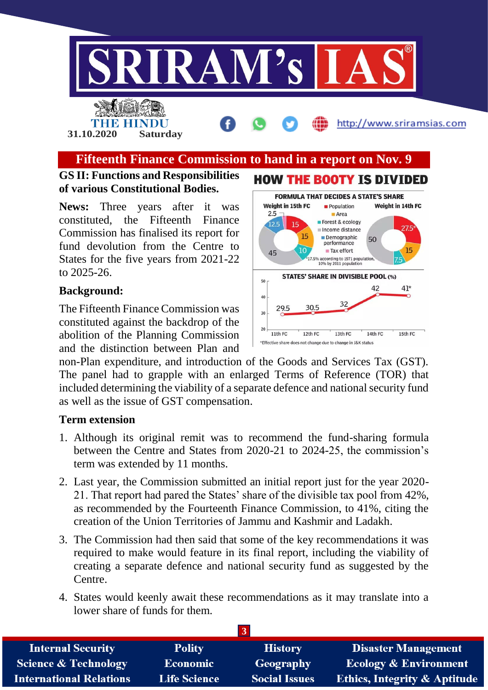

### **Fifteenth Finance Commission to hand in a report on Nov. 9**

### **GS II: Functions and Responsibilities of various Constitutional Bodies.**

**31.10.2020 Saturday**

THE HINDU

**News:** Three years after it was constituted, the Fifteenth Finance Commission has finalised its report for fund devolution from the Centre to States for the five years from 2021-22 to 2025-26.

### **Background:**

The Fifteenth Finance Commission was constituted against the backdrop of the abolition of the Planning Commission and the distinction between Plan and



http://www.sriramsias.com

non-Plan expenditure, and introduction of the Goods and Services Tax (GST). The panel had to grapple with an enlarged Terms of Reference (TOR) that included determining the viability of a separate defence and national security fund as well as the issue of GST compensation.

#### **Term extension**

- 1. Although its original remit was to recommend the fund-sharing formula between the Centre and States from 2020-21 to 2024-25, the commission's term was extended by 11 months.
- 2. Last year, the Commission submitted an initial report just for the year 2020- 21. That report had pared the States' share of the divisible tax pool from 42%, as recommended by the Fourteenth Finance Commission, to 41%, citing the creation of the Union Territories of Jammu and Kashmir and Ladakh.
- 3. The Commission had then said that some of the key recommendations it was required to make would feature in its final report, including the viability of creating a separate defence and national security fund as suggested by the Centre.
- 4. States would keenly await these recommendations as it may translate into a lower share of funds for them.

| <b>Internal Security</b>        | <b>Polity</b>       | <b>History</b>       | <b>Disaster Management</b>              |
|---------------------------------|---------------------|----------------------|-----------------------------------------|
| <b>Science &amp; Technology</b> | Economic            | Geography            | <b>Ecology &amp; Environment</b>        |
| <b>International Relations</b>  | <b>Life Science</b> | <b>Social Issues</b> | <b>Ethics, Integrity &amp; Aptitude</b> |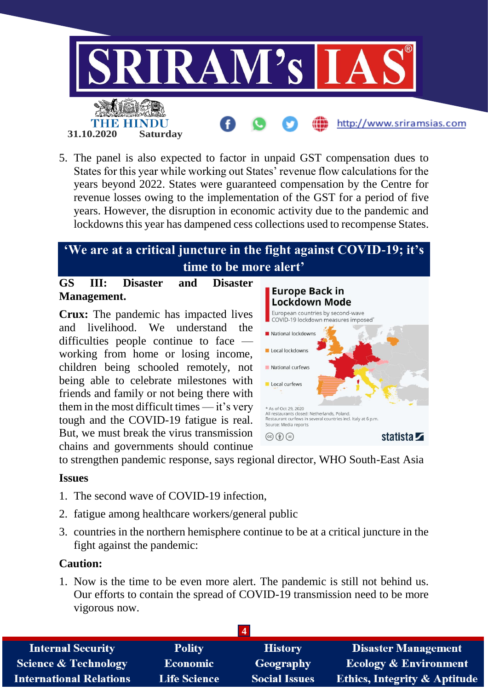

5. The panel is also expected to factor in unpaid GST compensation dues to States for this year while working out States' revenue flow calculations for the years beyond 2022. States were guaranteed compensation by the Centre for revenue losses owing to the implementation of the GST for a period of five years. However, the disruption in economic activity due to the pandemic and lockdowns this year has dampened cess collections used to recompense States.

### **'We are at a critical juncture in the fight against COVID-19; it's time to be more alert'**

### **GS III: Disaster and Disaster Management.**

**Crux:** The pandemic has impacted lives and livelihood. We understand the difficulties people continue to face working from home or losing income, children being schooled remotely, not being able to celebrate milestones with friends and family or not being there with them in the most difficult times  $-$  it's very tough and the COVID-19 fatigue is real. But, we must break the virus transmission chains and governments should continue



to strengthen pandemic response, says regional director, WHO South-East Asia

### **Issues**

- 1. The second wave of COVID-19 infection,
- 2. fatigue among healthcare workers/general public
- 3. countries in the northern hemisphere continue to be at a critical juncture in the fight against the pandemic:

### **Caution:**

1. Now is the time to be even more alert. The pandemic is still not behind us. Our efforts to contain the spread of COVID-19 transmission need to be more vigorous now.

| <b>Internal Security</b>        | <b>Polity</b>       | <b>History</b>       | <b>Disaster Management</b>              |
|---------------------------------|---------------------|----------------------|-----------------------------------------|
| <b>Science &amp; Technology</b> | <b>Economic</b>     | Geography            | <b>Ecology &amp; Environment</b>        |
| <b>International Relations</b>  | <b>Life Science</b> | <b>Social Issues</b> | <b>Ethics, Integrity &amp; Aptitude</b> |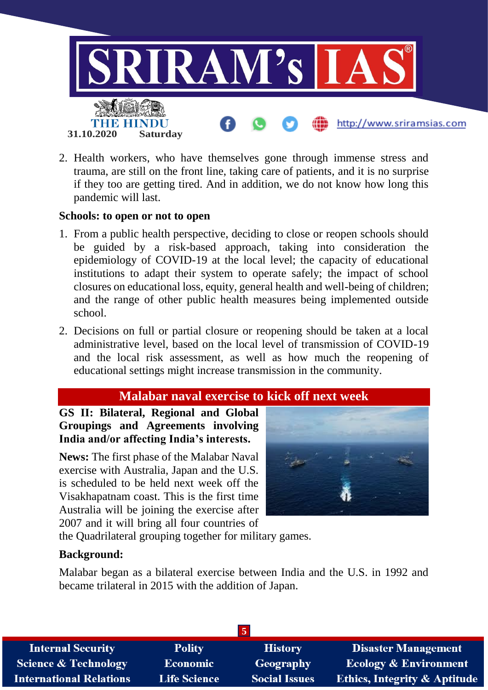

2. Health workers, who have themselves gone through immense stress and trauma, are still on the front line, taking care of patients, and it is no surprise if they too are getting tired. And in addition, we do not know how long this pandemic will last.

#### **Schools: to open or not to open**

- 1. From a public health perspective, deciding to close or reopen schools should be guided by a risk-based approach, taking into consideration the epidemiology of COVID-19 at the local level; the capacity of educational institutions to adapt their system to operate safely; the impact of school closures on educational loss, equity, general health and well-being of children; and the range of other public health measures being implemented outside school.
- 2. Decisions on full or partial closure or reopening should be taken at a local administrative level, based on the local level of transmission of COVID-19 and the local risk assessment, as well as how much the reopening of educational settings might increase transmission in the community.

### **Malabar naval exercise to kick off next week**

**GS II: Bilateral, Regional and Global Groupings and Agreements involving India and/or affecting India's interests.**

**News:** The first phase of the Malabar Naval exercise with Australia, Japan and the U.S. is scheduled to be held next week off the Visakhapatnam coast. This is the first time Australia will be joining the exercise after 2007 and it will bring all four countries of



the Quadrilateral grouping together for military games.

### **Background:**

Malabar began as a bilateral exercise between India and the U.S. in 1992 and became trilateral in 2015 with the addition of Japan.

| $\mathbf{c}$                    |                     |                      |                                         |
|---------------------------------|---------------------|----------------------|-----------------------------------------|
| <b>Internal Security</b>        | <b>Polity</b>       | <b>History</b>       | <b>Disaster Management</b>              |
| <b>Science &amp; Technology</b> | <b>Economic</b>     | Geography            | <b>Ecology &amp; Environment</b>        |
| <b>International Relations</b>  | <b>Life Science</b> | <b>Social Issues</b> | <b>Ethics, Integrity &amp; Aptitude</b> |